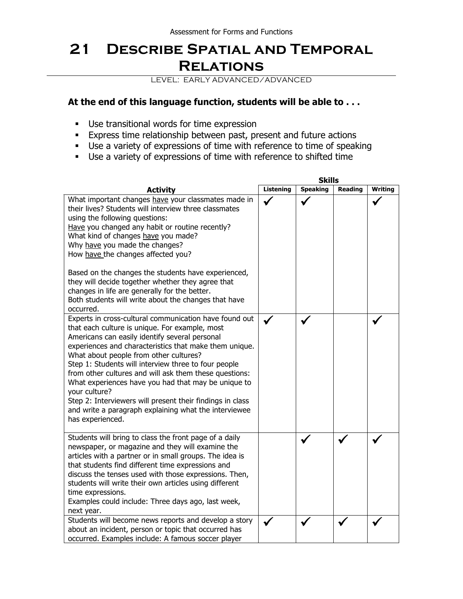## **21 Describe Spatial and Temporal Relations**

LEVEL: EARLY ADVANCED/ADVANCED

## **At the end of this language function, students will be able to . . .**

- Use transitional words for time expression
- **Express time relationship between past, present and future actions**
- Use a variety of expressions of time with reference to time of speaking
- Use a variety of expressions of time with reference to shifted time

|                                                                                                                                                                                                                                                                                                                                                                                                                                                                                                                                                                                                    | <b>Skills</b>    |                 |         |         |  |
|----------------------------------------------------------------------------------------------------------------------------------------------------------------------------------------------------------------------------------------------------------------------------------------------------------------------------------------------------------------------------------------------------------------------------------------------------------------------------------------------------------------------------------------------------------------------------------------------------|------------------|-----------------|---------|---------|--|
| <b>Activity</b>                                                                                                                                                                                                                                                                                                                                                                                                                                                                                                                                                                                    | <b>Listening</b> | <b>Speaking</b> | Reading | Writing |  |
| What important changes have your classmates made in<br>their lives? Students will interview three classmates<br>using the following questions:<br>Have you changed any habit or routine recently?<br>What kind of changes have you made?<br>Why have you made the changes?<br>How have the changes affected you?<br>Based on the changes the students have experienced,<br>they will decide together whether they agree that<br>changes in life are generally for the better.<br>Both students will write about the changes that have<br>occurred.                                                 |                  |                 |         |         |  |
| Experts in cross-cultural communication have found out<br>that each culture is unique. For example, most<br>Americans can easily identify several personal<br>experiences and characteristics that make them unique.<br>What about people from other cultures?<br>Step 1: Students will interview three to four people<br>from other cultures and will ask them these questions:<br>What experiences have you had that may be unique to<br>your culture?<br>Step 2: Interviewers will present their findings in class<br>and write a paragraph explaining what the interviewee<br>has experienced. |                  |                 |         |         |  |
| Students will bring to class the front page of a daily<br>newspaper, or magazine and they will examine the<br>articles with a partner or in small groups. The idea is<br>that students find different time expressions and<br>discuss the tenses used with those expressions. Then,<br>students will write their own articles using different<br>time expressions.<br>Examples could include: Three days ago, last week,<br>next year.                                                                                                                                                             |                  |                 |         |         |  |
| Students will become news reports and develop a story<br>about an incident, person or topic that occurred has<br>occurred. Examples include: A famous soccer player                                                                                                                                                                                                                                                                                                                                                                                                                                |                  |                 |         |         |  |